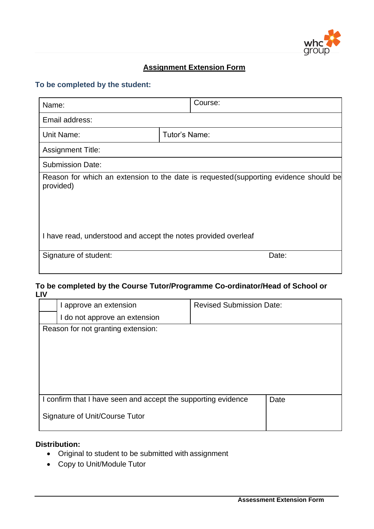

## **Assignment Extension Form**

## **To be completed by the student:**

| Name:                                                          | Course:                                                                               |  |
|----------------------------------------------------------------|---------------------------------------------------------------------------------------|--|
| Email address:                                                 |                                                                                       |  |
| Unit Name:                                                     | Tutor's Name:                                                                         |  |
| <b>Assignment Title:</b>                                       |                                                                                       |  |
| <b>Submission Date:</b>                                        |                                                                                       |  |
| provided)                                                      | Reason for which an extension to the date is requested (supporting evidence should be |  |
| I have read, understood and accept the notes provided overleaf |                                                                                       |  |
| Signature of student:                                          | Date:                                                                                 |  |

## **To be completed by the Course Tutor/Programme Co-ordinator/Head of School or LIV**

| I approve an extension                                        |  | <b>Revised Submission Date:</b> |  |
|---------------------------------------------------------------|--|---------------------------------|--|
| I do not approve an extension                                 |  |                                 |  |
| Reason for not granting extension:                            |  |                                 |  |
|                                                               |  |                                 |  |
|                                                               |  |                                 |  |
|                                                               |  |                                 |  |
|                                                               |  |                                 |  |
|                                                               |  |                                 |  |
| I confirm that I have seen and accept the supporting evidence |  | Date                            |  |
| Signature of Unit/Course Tutor                                |  |                                 |  |

# **Distribution:**

- Original to student to be submitted with assignment
- Copy to Unit/Module Tutor